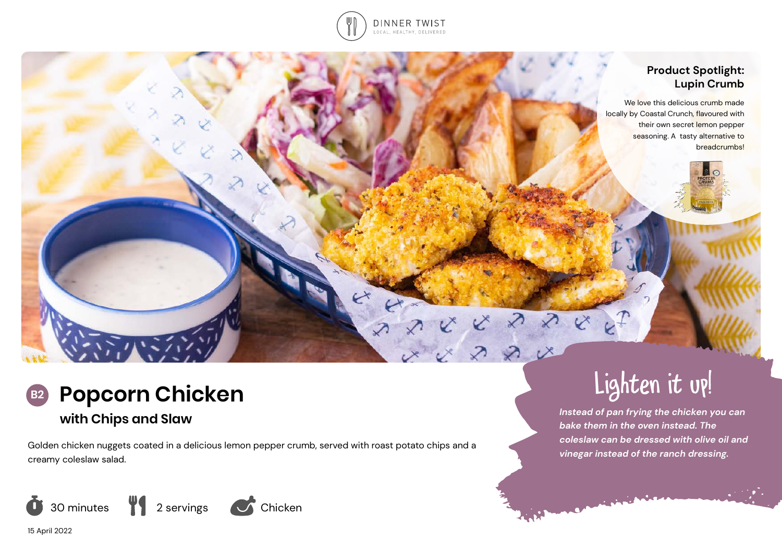

## **Product Spotlight: Lupin Crumb**

We love this delicious crumb made locally by Coastal Crunch, flavoured with their own secret lemon pepper seasoning. A tasty alternative to breadcrumbs!



## **with Chips and Slaw**

Golden chicken nuggets coated in a delicious lemon pepper crumb, served with roast potato chips and a creamy coleslaw salad.



# Lighten it up!

*Instead of pan frying the chicken you can bake them in the oven instead. The coleslaw can be dressed with olive oil and vinegar instead of the ranch dressing.* 

15 April 2022